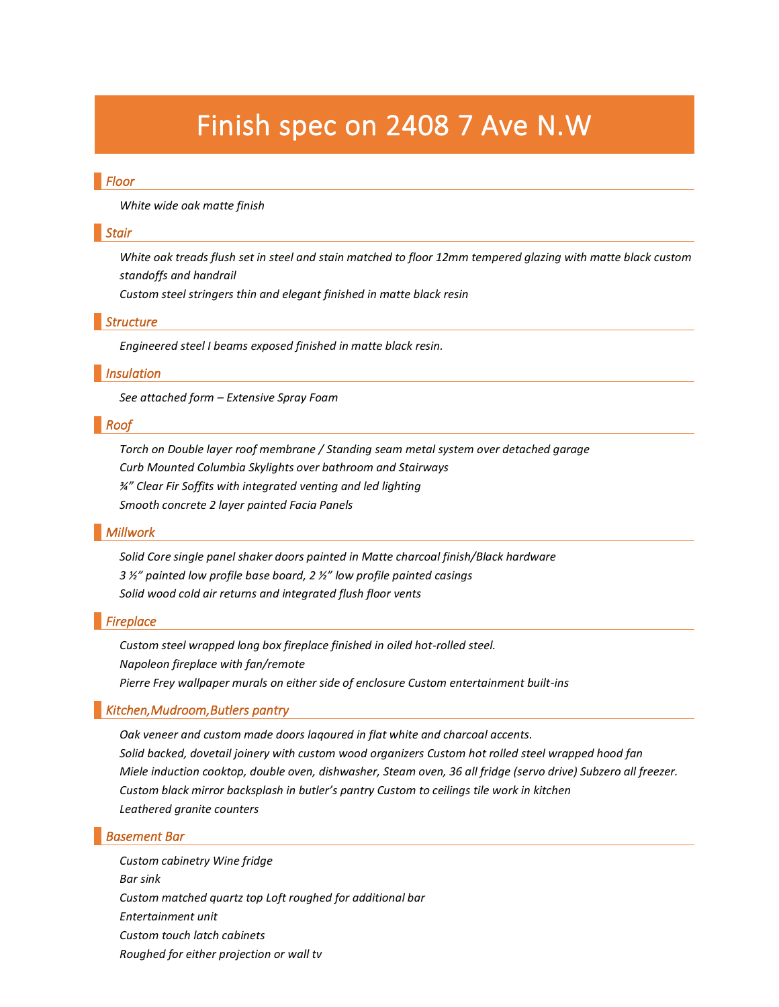# Finish spec on 2408 7 Ave N.W

# *Floor*

*White wide oak matte finish*

#### *Stair*

*White oak treads flush set in steel and stain matched to floor 12mm tempered glazing with matte black custom standoffs and handrail*

*Custom steel stringers thin and elegant finished in matte black resin*

#### *Structure*

*Engineered steel I beams exposed finished in matte black resin.*

#### *Insulation*

*See attached form – Extensive Spray Foam*

## *Roof*

*Torch on Double layer roof membrane / Standing seam metal system over detached garage Curb Mounted Columbia Skylights over bathroom and Stairways ¾" Clear Fir Soffits with integrated venting and led lighting Smooth concrete 2 layer painted Facia Panels*

#### *Millwork*

*Solid Core single panel shaker doors painted in Matte charcoal finish/Black hardware 3 ½" painted low profile base board, 2 ½" low profile painted casings Solid wood cold air returns and integrated flush floor vents*

# *Fireplace*

*Custom steel wrapped long box fireplace finished in oiled hot-rolled steel. Napoleon fireplace with fan/remote Pierre Frey wallpaper murals on either side of enclosure Custom entertainment built-ins*

# *Kitchen,Mudroom,Butlers pantry*

*Oak veneer and custom made doors laqoured in flat white and charcoal accents. Solid backed, dovetail joinery with custom wood organizers Custom hot rolled steel wrapped hood fan Miele induction cooktop, double oven, dishwasher, Steam oven, 36 all fridge (servo drive) Subzero all freezer. Custom black mirror backsplash in butler's pantry Custom to ceilings tile work in kitchen Leathered granite counters*

#### *Basement Bar*

*Custom cabinetry Wine fridge Bar sink Custom matched quartz top Loft roughed for additional bar Entertainment unit Custom touch latch cabinets Roughed for either projection or wall tv*